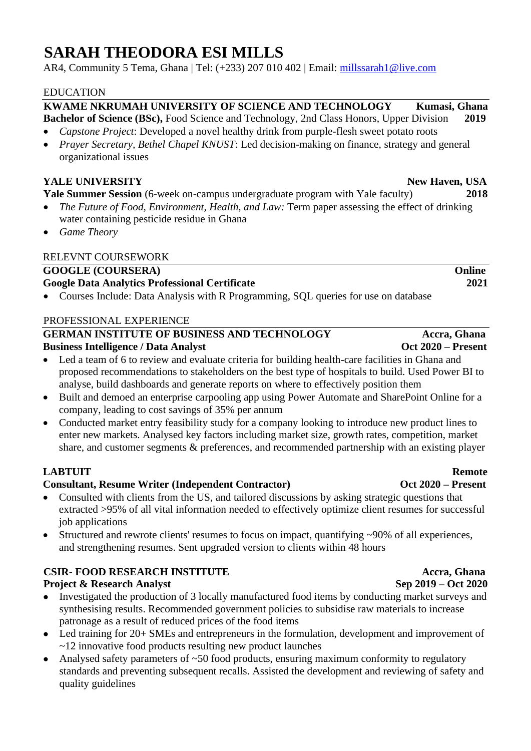## **SARAH THEODORA ESI MILLS**

AR4, Community 5 Tema, Ghana | Tel: (+233) 207 010 402 | Email: millssarah1@live.com

### EDUCATION

### **KWAME NKRUMAH UNIVERSITY OF SCIENCE AND TECHNOLOGY Kumasi, Ghana Bachelor of Science (BSc),** Food Science and Technology, 2nd Class Honors, Upper Division **2019**

- *Capstone Project*: Developed a novel healthy drink from purple-flesh sweet potato roots
- *Prayer Secretary, Bethel Chapel KNUST*: Led decision-making on finance, strategy and general organizational issues

### **YALE UNIVERSITY** New Haven, USA

**Yale Summer Session** (6-week on-campus undergraduate program with Yale faculty) 2018

- *The Future of Food, Environment, Health, and Law:* Term paper assessing the effect of drinking water containing pesticide residue in Ghana
- *Game Theory*

### RELEVNT COURSEWORK

### GOOGLE (COURSERA) Online **Google Data Analytics Professional Certificate 2021**

• Courses Include: Data Analysis with R Programming, SQL queries for use on database

### PROFESSIONAL EXPERIENCE

### GERMAN INSTITUTE OF BUSINESS AND TECHNOLOGY Accra, Ghana **Business Intelligence / Data Analyst Oct 2020 – Present**

- Led a team of 6 to review and evaluate criteria for building health-care facilities in Ghana and proposed recommendations to stakeholders on the best type of hospitals to build. Used Power BI to analyse, build dashboards and generate reports on where to effectively position them
- Built and demoed an enterprise carpooling app using Power Automate and SharePoint Online for a company, leading to cost savings of 35% per annum
- Conducted market entry feasibility study for a company looking to introduce new product lines to enter new markets. Analysed key factors including market size, growth rates, competition, market share, and customer segments & preferences, and recommended partnership with an existing player

### **LABTUIT** Remote

### **Consultant, Resume Writer (Independent Contractor) Oct 2020 – Present**

- Consulted with clients from the US, and tailored discussions by asking strategic questions that extracted >95% of all vital information needed to effectively optimize client resumes for successful job applications
- Structured and rewrote clients' resumes to focus on impact, quantifying ~90% of all experiences, and strengthening resumes. Sent upgraded version to clients within 48 hours

### **CSIR- FOOD RESEARCH INSTITUTE Accra, Ghana**

### **Project & Research Analyst** Sep 2019 – Oct 2020

- Investigated the production of 3 locally manufactured food items by conducting market surveys and synthesising results. Recommended government policies to subsidise raw materials to increase patronage as a result of reduced prices of the food items
- Led training for 20+ SMEs and entrepreneurs in the formulation, development and improvement of ~12 innovative food products resulting new product launches
- Analysed safety parameters of  $\sim 50$  food products, ensuring maximum conformity to regulatory standards and preventing subsequent recalls. Assisted the development and reviewing of safety and quality guidelines